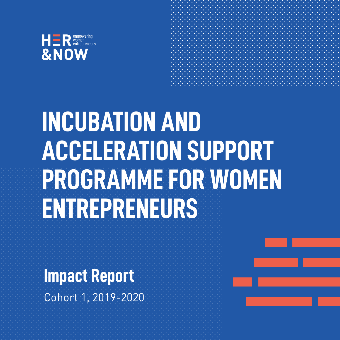

## **INCUBATION AND ACCELERATION SUPPORT PROGRAMME FOR WOMEN ENTREPRENEURS**

**Impact Report** Cohort 1, 2019-2020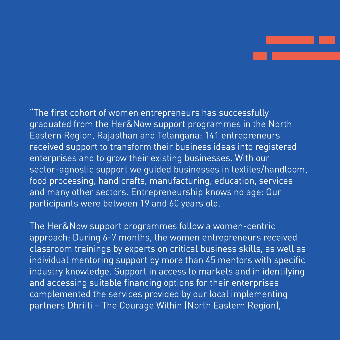"The first cohort of women entrepreneurs has successfully graduated from the Her&Now support programmes in the North Eastern Region, Rajasthan and Telangana: 141 entrepreneurs received support to transform their business ideas into registered enterprises and to grow their existing businesses. With our sector-agnostic support we guided businesses in textiles/handloom, food processing, handicrafts, manufacturing, education, services and many other sectors. Entrepreneurship knows no age: Our participants were between 19 and 60 years old.

The Her&Now support programmes follow a women-centric approach: During 6-7 months, the women entrepreneurs received classroom trainings by experts on critical business skills, as well as individual mentoring support by more than 45 mentors with specific industry knowledge. Support in access to markets and in identifying and accessing suitable financing options for their enterprises complemented the services provided by our local implementing partners Dhriiti – The Courage Within (North Eastern Region),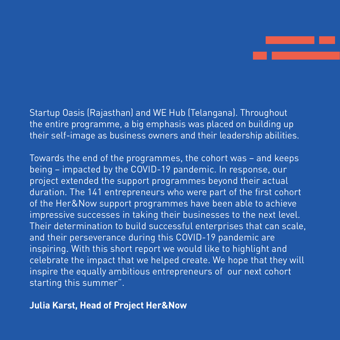

Startup Oasis (Rajasthan) and WE Hub (Telangana). Throughout the entire programme, a big emphasis was placed on building up their self-image as business owners and their leadership abilities.

Towards the end of the programmes, the cohort was – and keeps being – impacted by the COVID-19 pandemic. In response, our project extended the support programmes beyond their actual duration. The 141 entrepreneurs who were part of the first cohort of the Her&Now support programmes have been able to achieve impressive successes in taking their businesses to the next level. Their determination to build successful enterprises that can scale, and their perseverance during this COVID-19 pandemic are inspiring. With this short report we would like to highlight and celebrate the impact that we helped create. We hope that they will inspire the equally ambitious entrepreneurs of our next cohort starting this summer".

#### **Julia Karst, Head of Project Her&Now**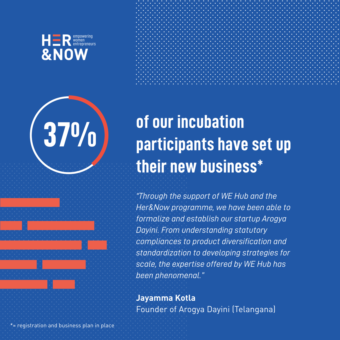



# **37%**

## **of our incubation participants have set up their new business\***

*"Through the support of WE Hub and the Her&Now programme, we have been able to formalize and establish our startup Arogya Dayini. From understanding statutory compliances to product diversification and standardization to developing strategies for scale, the expertise offered by WE Hub has been phenomenal."*

**Jayamma Kotla** Founder of Arogya Dayini (Telangana)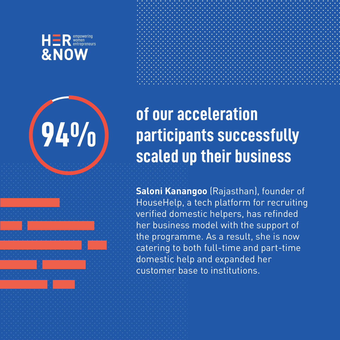## **94%**

### **of our acceleration participants successfully scaled up their business**

**Saloni Kanangoo** (Rajasthan), founder of HouseHelp, a tech platform for recruiting verified domestic helpers, has refinded her business model with the support of the programme. As a result, she is now catering to both full-time and part-time domestic help and expanded her customer base to institutions.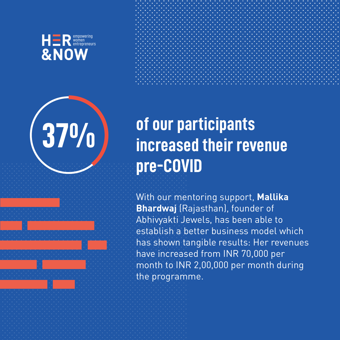





## **of our participants increased their revenue pre-COVID**

With our mentoring support, **Mallika Bhardwaj** (Rajasthan), founder of Abhivyakti Jewels, has been able to establish a better business model which has shown tangible results: Her revenues have increased from INR 70,000 per month to INR 2,00,000 per month during the programme.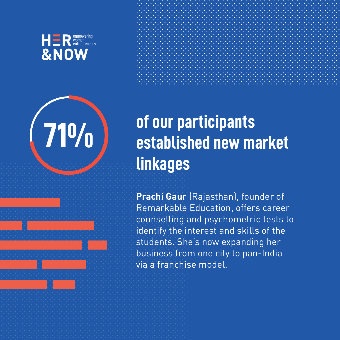



## **71%**

## **of our participants established new market linkages**

**Prachi Gaur** (Rajasthan), founder of Remarkable Education, offers career counselling and psychometric tests to identify the interest and skills of the students. She's now expanding her business from one city to pan-India via a franchise model.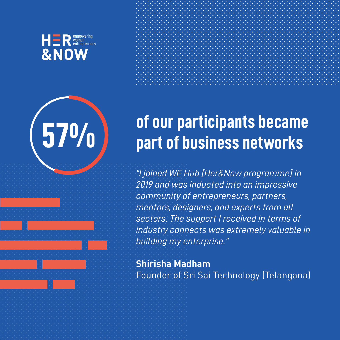**57%**



### **of our participants became part of business networks**

*"I joined WE Hub [Her&Now programme] in 2019 and was inducted into an impressive community of entrepreneurs, partners, mentors, designers, and experts from all sectors. The support I received in terms of industry connects was extremely valuable in building my enterprise."*

**Shirisha Madham** Founder of Sri Sai Technology (Telangana)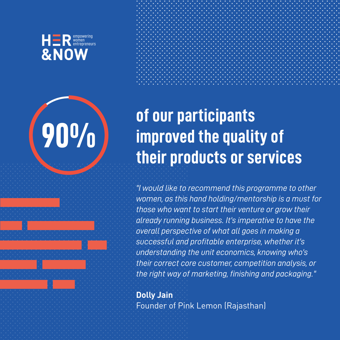## **90%**

### **of our participants improved the quality of their products or services**

*"I would like to recommend this programme to other women, as this hand holding/mentorship is a must for those who want to start their venture or grow their already running business. It's imperative to have the overall perspective of what all goes in making a successful and profitable enterprise, whether it's understanding the unit economics, knowing who's their correct core customer, competition analysis, or the right way of marketing, finishing and packaging."*

**Dolly Jain** Founder of Pink Lemon (Rajasthan)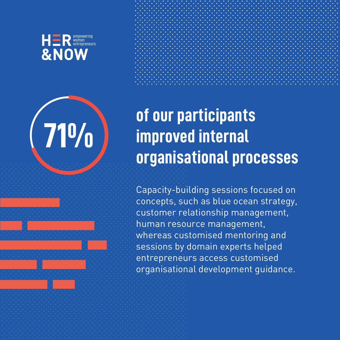

# **71%**

### **of our participants improved internal organisational processes**

Capacity-building sessions focused on concepts, such as blue ocean strategy, customer relationship management, human resource management, whereas customised mentoring and sessions by domain experts helped entrepreneurs access customised organisational development guidance.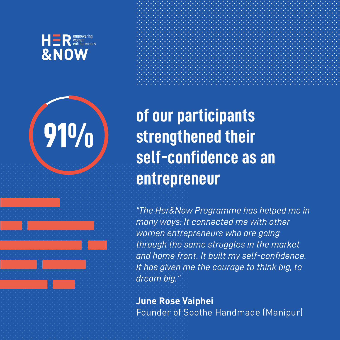

**91%**

**of our participants strengthened their self-confidence as an entrepreneur**

*"The Her&Now Programme has helped me in many ways: It connected me with other women entrepreneurs who are going through the same struggles in the market and home front. It built my self-confidence. It has given me the courage to think big, to dream big."*

**June Rose Vaiphei** Founder of Soothe Handmade (Manipur)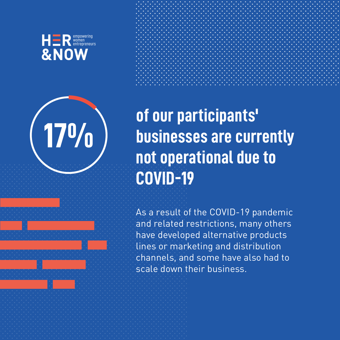



**17%**

## **of our participants' businesses are currently not operational due to COVID-19**

As a result of the COVID-19 pandemic and related restrictions, many others have developed alternative products lines or marketing and distribution channels, and some have also had to scale down their business.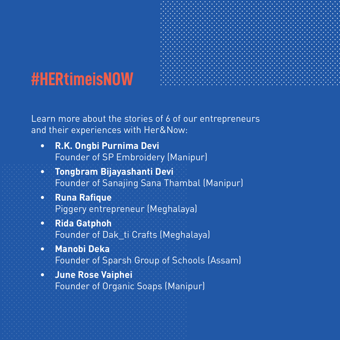#### **#HERtimeisNOW**

Learn more about the stories of 6 of our entrepreneurs and their experiences with Her&Now:

- **[R.K. Ongbi Purnima Devi](https://www.youtube.com/watch?v=ROOfoigkPyY&t=45s)** Founder of SP Embroidery (Manipur) **•**
- **[Tongbram Bijayashanti Devi](https://www.youtube.com/watch?v=aCmUwAUKcQE)** Founder of Sanajing Sana Thambal (Manipur) **•**
- **[Runa Rafique](https://www.youtube.com/watch?v=9u02KNKygfg)**  Piggery entrepreneur (Meghalaya) **•**
- **[Rida Gatphoh](https://www.youtube.com/watch?v=ESk2lsjBmYA)** Founder of Dak\_ti Crafts (Meghalaya) **•**
- **[Manobi Deka](https://www.youtube.com/watch?v=J0Mp3xOTB6s)** Founder of Sparsh Group of Schools (Assam) **•**
- **[June Rose Vaiphei](https://www.youtube.com/watch?v=pMuwaC4x3I8)** Founder of Organic Soaps (Manipur) **•**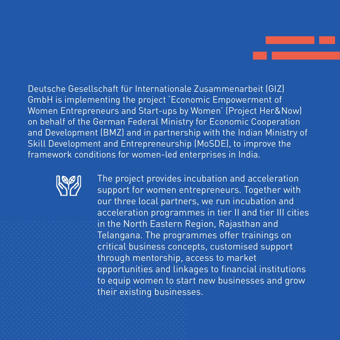Deutsche Gesellschaft für Internationale Zusammenarbeit (GIZ) GmbH is implementing the project 'Economic Empowerment of Women Entrepreneurs and Start-ups by Women' (Project Her&Now) on behalf of the German Federal Ministry for Economic Cooperation and Development (BMZ) and in partnership with the Indian Ministry of Skill Development and Entrepreneurship (MoSDE), to improve the framework conditions for women-led enterprises in India.



The project provides incubation and acceleration support for women entrepreneurs. Together with our three local partners, we run incubation and acceleration programmes in tier II and tier III cities in the North Eastern Region, Rajasthan and Telangana. The programmes offer trainings on critical business concepts, customised support through mentorship, access to market opportunities and linkages to financial institutions to equip women to start new businesses and grow their existing businesses.